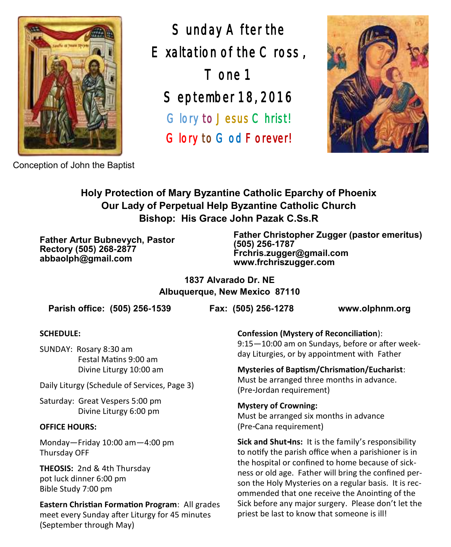

Sunday After the Exaltation of the Cross , Tone 1 September 18, 2016 Glory to Jesus Christ! Glory to God Forever!



Conception of John the Baptist

### **Holy Protection of Mary Byzantine Catholic Eparchy of Phoenix Our Lady of Perpetual Help Byzantine Catholic Church Bishop: His Grace John Pazak C.Ss.R**

**Father Artur Bubnevych, Pastor Rectory (505) 268-2877 abbaolph@gmail.com**

**Father Christopher Zugger (pastor emeritus) (505) 256-1787 Frchris.zugger@gmail.com www.frchriszugger.com** 

**1837 Alvarado Dr. NE Albuquerque, New Mexico 87110**

**Parish office: (505) 256-1539 Fax: (505) 256-1278 www.olphnm.org**

### **SCHEDULE:**

SUNDAY: Rosary 8:30 am Festal Matins 9:00 am Divine Liturgy 10:00 am

Daily Liturgy (Schedule of Services, Page 3)

Saturday: Great Vespers 5:00 pm Divine Liturgy 6:00 pm

### **OFFICE HOURS:**

Monday—Friday 10:00 am—4:00 pm Thursday OFF

**THEOSIS:** 2nd & 4th Thursday pot luck dinner 6:00 pm Bible Study 7:00 pm

**Eastern Christian Formation Program**: All grades meet every Sunday after Liturgy for 45 minutes (September through May)

**Confession (Mystery of Reconciliation**):

9:15—10:00 am on Sundays, before or after weekday Liturgies, or by appointment with Father

**Mysteries of Baptism/Chrismation/Eucharist**: Must be arranged three months in advance. (Pre-Jordan requirement)

**Mystery of Crowning:**  Must be arranged six months in advance (Pre-Cana requirement)

**Sick and Shut-Ins:** It is the family's responsibility to notify the parish office when a parishioner is in the hospital or confined to home because of sickness or old age. Father will bring the confined person the Holy Mysteries on a regular basis. It is recommended that one receive the Anointing of the Sick before any major surgery. Please don't let the priest be last to know that someone is ill!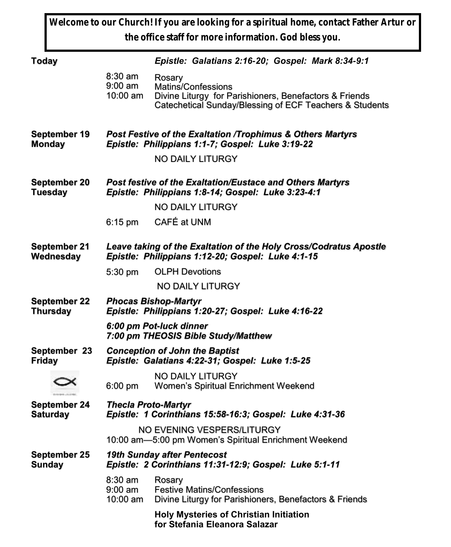**Welcome to our Church! If you are looking for a spiritual home, contact Father Artur or the office staff for more information. God bless you.**

| Today                                 | Epistle: Galatians 2:16-20; Gospel: Mark 8:34-9:1                                                                      |                                                                                                                                                   |  |  |  |
|---------------------------------------|------------------------------------------------------------------------------------------------------------------------|---------------------------------------------------------------------------------------------------------------------------------------------------|--|--|--|
|                                       | $8:30$ am<br>9:00 am<br>10:00 am                                                                                       | Rosary<br>Matins/Confessions<br>Divine Liturgy for Parishioners, Benefactors & Friends<br>Catechetical Sunday/Blessing of ECF Teachers & Students |  |  |  |
| September 19<br><b>Monday</b>         | Post Festive of the Exaltation /Trophimus & Others Martyrs<br>Epistle: Philippians 1:1-7; Gospel: Luke 3:19-22         |                                                                                                                                                   |  |  |  |
|                                       |                                                                                                                        | NO DAILY LITURGY                                                                                                                                  |  |  |  |
| <b>September 20</b><br><b>Tuesday</b> | Post festive of the Exaltation/Eustace and Others Martyrs<br>Epistle: Philippians 1:8-14; Gospel: Luke 3:23-4:1        |                                                                                                                                                   |  |  |  |
|                                       |                                                                                                                        | NO DAILY LITURGY                                                                                                                                  |  |  |  |
|                                       | $6:15$ pm                                                                                                              | CAFÉ at UNM                                                                                                                                       |  |  |  |
| September 21<br>Wednesday             | Leave taking of the Exaltation of the Holy Cross/Codratus Apostle<br>Epistle: Philippians 1:12-20; Gospel: Luke 4:1-15 |                                                                                                                                                   |  |  |  |
|                                       | $5:30 \text{ pm}$                                                                                                      | <b>OLPH Devotions</b>                                                                                                                             |  |  |  |
|                                       |                                                                                                                        | NO DAILY LITURGY                                                                                                                                  |  |  |  |
| September 22<br><b>Thursday</b>       | <b>Phocas Bishop-Martyr</b><br>Epistle: Philippians 1:20-27; Gospel: Luke 4:16-22                                      |                                                                                                                                                   |  |  |  |
|                                       | 6:00 pm Pot-luck dinner<br>7:00 pm THEOSIS Bible Study/Matthew                                                         |                                                                                                                                                   |  |  |  |
| September 23<br><b>Friday</b>         | <b>Conception of John the Baptist</b><br>Epistle: Galatians 4:22-31; Gospel: Luke 1:5-25                               |                                                                                                                                                   |  |  |  |
|                                       | $6:00$ pm                                                                                                              | NO DAILY LITURGY<br>Women's Spiritual Enrichment Weekend                                                                                          |  |  |  |
| September 24<br><b>Saturday</b>       | <b>Thecla Proto-Martyr</b><br>Epistle: 1 Corinthians 15:58-16:3; Gospel: Luke 4:31-36                                  |                                                                                                                                                   |  |  |  |
|                                       | NO EVENING VESPERS/LITURGY<br>10:00 am-5:00 pm Women's Spiritual Enrichment Weekend                                    |                                                                                                                                                   |  |  |  |
| September 25<br>Sunday                | 19th Sunday after Pentecost<br>Epistle: 2 Corinthians 11:31-12:9; Gospel: Luke 5:1-11                                  |                                                                                                                                                   |  |  |  |
|                                       | $8:30$ am<br>9:00 am<br>10:00 am                                                                                       | Rosary<br><b>Festive Matins/Confessions</b><br>Divine Liturgy for Parishioners, Benefactors & Friends                                             |  |  |  |
|                                       |                                                                                                                        | <b>Holy Mysteries of Christian Initiation</b><br>for Stefania Eleanora Salazar                                                                    |  |  |  |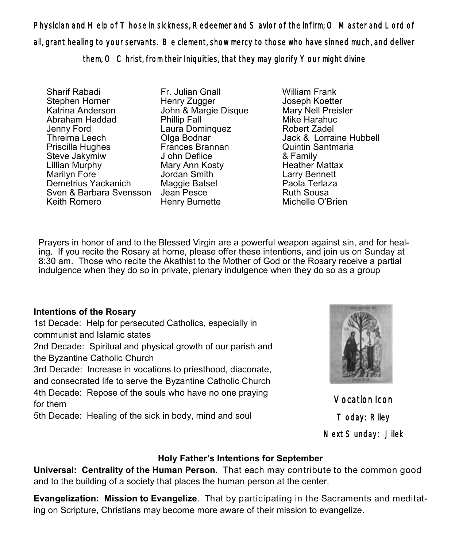Physician and Help of Those in sickness, Redeemer and Savior of the infirm; O Master and Lord of all, grant healing to your servants. Be clement, show mercy to those who have sinned much, and deliver them, O Christ, from their Iniquities, that they may glorify Your might divine

Sharif Rabadi Stephen Horner Katrina Anderson Abraham Haddad Jenny Ford Threima Leech Priscilla Hughes Steve Jakymiw Lillian Murphy Marilyn Fore Demetrius Yackanich Sven & Barbara Svensson Jean Pesce Keith Romero

Fr. Julian Gnall Henry Zugger John & Margie Disque Phillip Fall Laura Dominquez Olga Bodnar Frances Brannan J ohn Deflice Mary Ann Kosty Jordan Smith Maggie Batsel Henry Burnette

William Frank Joseph Koetter Mary Nell Preisler Mike Harahuc Robert Zadel Jack & Lorraine Hubbell Quintin Santmaria & Family Heather Mattax Larry Bennett Paola Terlaza Ruth Sousa Michelle O'Brien

Prayers in honor of and to the Blessed Virgin are a powerful weapon against sin, and for healing. If you recite the Rosary at home, please offer these intentions, and join us on Sunday at 8:30 am. Those who recite the Akathist to the Mother of God or the Rosary receive a partial indulgence when they do so in private, plenary indulgence when they do so as a group

### **Intentions of the Rosary**

1st Decade: Help for persecuted Catholics, especially in communist and Islamic states

2nd Decade: Spiritual and physical growth of our parish and the Byzantine Catholic Church

3rd Decade: Increase in vocations to priesthood, diaconate, and consecrated life to serve the Byzantine Catholic Church 4th Decade: Repose of the souls who have no one praying for them

5th Decade: Healing of the sick in body, mind and soul



Vocation Icon Today: Riley Next Sunday: Jilek

### **Holy Father's Intentions for September**

**Universal: Centrality of the Human Person.** That each may contribute to the common good and to the building of a society that places the human person at the center.

**Evangelization: Mission to Evangelize**. That by participating in the Sacraments and meditating on Scripture, Christians may become more aware of their mission to evangelize.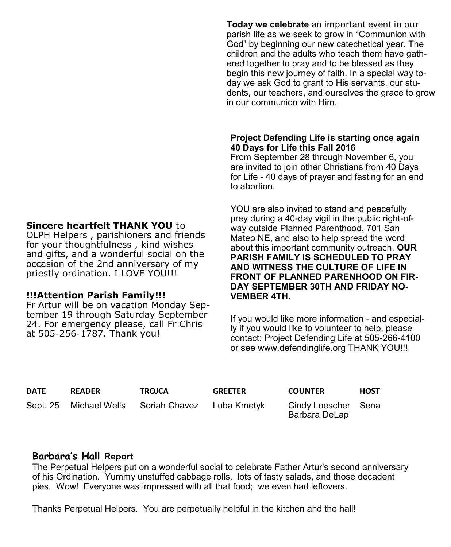#### **Sincere heartfelt THANK YOU** to

OLPH Helpers , parishioners and friends for your thoughtfulness , kind wishes and gifts, and a wonderful social on the occasion of the 2nd anniversary of my priestly ordination. I LOVE YOU!!!

#### **!!!Attention Parish Family!!!**

Fr Artur will be on vacation Monday September 19 through Saturday September 24. For emergency please, call Fr Chris at 505-256-1787. Thank you!

**Today we celebrate** an important event in our parish life as we seek to grow in "Communion with God" by beginning our new catechetical year. The children and the adults who teach them have gathered together to pray and to be blessed as they begin this new journey of faith. In a special way today we ask God to grant to His servants, our students, our teachers, and ourselves the grace to grow in our communion with Him.

### **Project Defending Life is starting once again 40 Days for Life this Fall 2016**

From September 28 through November 6, you are invited to join other Christians from 40 Days for Life - 40 days of prayer and fasting for an end to abortion.

YOU are also invited to stand and peacefully prey during a 40-day vigil in the public right-ofway outside Planned Parenthood, 701 San Mateo NE, and also to help spread the word about this important community outreach. **OUR PARISH FAMILY IS SCHEDULED TO PRAY AND WITNESS THE CULTURE OF LIFE IN FRONT OF PLANNED PARENHOOD ON FIR-DAY SEPTEMBER 30TH AND FRIDAY NO-VEMBER 4TH.**

If you would like more information - and especially if you would like to volunteer to help, please contact: Project Defending Life at 505-266-4100 or see [www.defendinglife.org T](http://www.defendinglife.org)HANK YOU!!!

| DATE | <b>READER</b>           | <b>TROJCA</b> | <b>GREETER</b> | <b>COUNTER</b>                       | <b>HOST</b> |
|------|-------------------------|---------------|----------------|--------------------------------------|-------------|
|      | Sept. 25  Michael Wells | Soriah Chavez | Luba Kmetyk    | Cindy Loescher Sena<br>Barbara DeLap |             |

### **Barbara's Hall Report**

The Perpetual Helpers put on a wonderful social to celebrate Father Artur's second anniversary of his Ordination. Yummy unstuffed cabbage rolls, lots of tasty salads, and those decadent pies. Wow! Everyone was impressed with all that food; we even had leftovers.

Thanks Perpetual Helpers. You are perpetually helpful in the kitchen and the hall!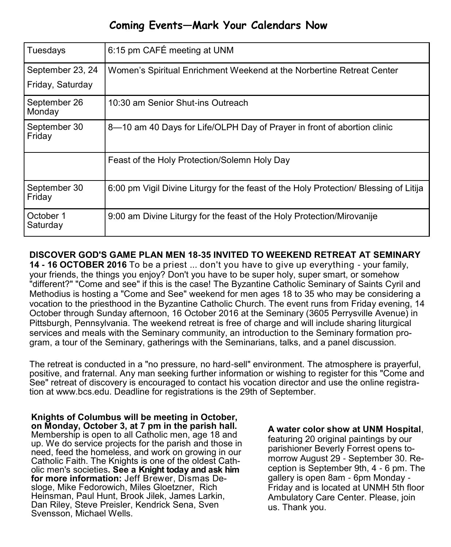### **Coming Events—Mark Your Calendars Now**

| Tuesdays                             | 6:15 pm CAFÉ meeting at UNM                                                           |
|--------------------------------------|---------------------------------------------------------------------------------------|
| September 23, 24<br>Friday, Saturday | Women's Spiritual Enrichment Weekend at the Norbertine Retreat Center                 |
| September 26                         | 10:30 am Senior Shut-ins Outreach                                                     |
| Monday                               |                                                                                       |
| September 30<br>Friday               | 8-10 am 40 Days for Life/OLPH Day of Prayer in front of abortion clinic               |
|                                      | Feast of the Holy Protection/Solemn Holy Day                                          |
| September 30<br>Friday               | 6:00 pm Vigil Divine Liturgy for the feast of the Holy Protection/ Blessing of Litija |
| October 1<br>Saturday                | 9:00 am Divine Liturgy for the feast of the Holy Protection/Mirovanije                |

**DISCOVER GOD'S GAME PLAN MEN 18-35 INVITED TO WEEKEND RETREAT AT SEMINARY** 

**14 - 16 OCTOBER 2016** To be a priest ... don't you have to give up everything - your family, your friends, the things you enjoy? Don't you have to be super holy, super smart, or somehow "different?" "Come and see" if this is the case! The Byzantine Catholic Seminary of Saints Cyril and Methodius is hosting a "Come and See" weekend for men ages 18 to 35 who may be considering a vocation to the priesthood in the Byzantine Catholic Church. The event runs from Friday evening, 14 October through Sunday afternoon, 16 October 2016 at the Seminary (3605 Perrysville Avenue) in Pittsburgh, Pennsylvania. The weekend retreat is free of charge and will include sharing liturgical services and meals with the Seminary community, an introduction to the Seminary formation program, a tour of the Seminary, gatherings with the Seminarians, talks, and a panel discussion.

The retreat is conducted in a "no pressure, no hard-sell" environment. The atmosphere is prayerful, positive, and fraternal. Any man seeking further information or wishing to register for this "Come and See" retreat of discovery is encouraged to contact his vocation director and use the online registration at [www.bcs.edu.](http://www.bcs.edu) Deadline for registrations is the 29th of September.

**Knights of Columbus will be meeting in October, on Monday, October 3, at 7 pm in the parish hall.** Membership is open to all Catholic men, age 18 and up. We do service projects for the parish and those in need, feed the homeless, and work on growing in our Catholic Faith. The Knights is one of the oldest Catholic men's societies**. See a Knight today and ask him for more information:** Jeff Brewer, Dismas Desloge, Mike Fedorowich, Miles Gloetzner, Rich Heinsman, Paul Hunt, Brook Jilek, James Larkin, Dan Riley, Steve Preisler, Kendrick Sena, Sven Svensson, Michael Wells.

**A water color show at UNM Hospital**, featuring 20 original paintings by our parishioner Beverly Forrest opens tomorrow August 29 - September 30. Reception is September 9th, 4 - 6 pm. The gallery is open 8am - 6pm Monday - Friday and is located at UNMH 5th floor Ambulatory Care Center. Please, join us. Thank you.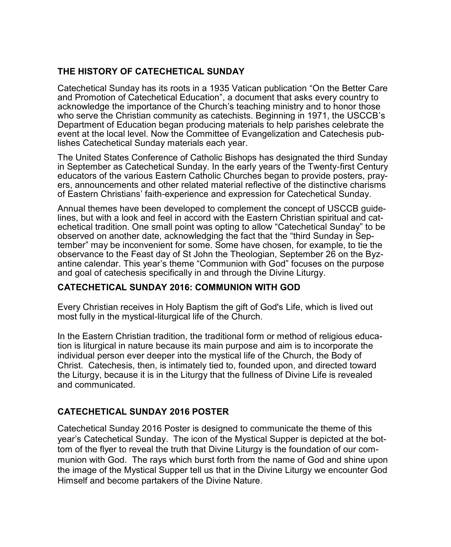### **THE HISTORY OF CATECHETICAL SUNDAY**

Catechetical Sunday has its roots in a 1935 Vatican publication "On the Better Care and Promotion of Catechetical Education", a document that asks every country to acknowledge the importance of the Church's teaching ministry and to honor those who serve the Christian community as catechists. Beginning in 1971, the USCCB's Department of Education began producing materials to help parishes celebrate the event at the local level. Now the Committee of Evangelization and Catechesis publishes Catechetical Sunday materials each year.

The United States Conference of Catholic Bishops has designated the third Sunday in September as Catechetical Sunday. In the early years of the Twenty-first Century educators of the various Eastern Catholic Churches began to provide posters, prayers, announcements and other related material reflective of the distinctive charisms of Eastern Christians' faith-experience and expression for Catechetical Sunday.

Annual themes have been developed to complement the concept of USCCB guidelines, but with a look and feel in accord with the Eastern Christian spiritual and catechetical tradition. One small point was opting to allow "Catechetical Sunday" to be observed on another date, acknowledging the fact that the "third Sunday in September" may be inconvenient for some. Some have chosen, for example, to tie the observance to the Feast day of St John the Theologian, September 26 on the Byzantine calendar. This year's theme "Communion with God" focuses on the purpose and goal of catechesis specifically in and through the Divine Liturgy.

### **CATECHETICAL SUNDAY 2016: COMMUNION WITH GOD**

Every Christian receives in Holy Baptism the gift of God's Life, which is lived out most fully in the mystical-liturgical life of the Church.

In the Eastern Christian tradition, the traditional form or method of religious education is liturgical in nature because its main purpose and aim is to incorporate the individual person ever deeper into the mystical life of the Church, the Body of Christ. Catechesis, then, is intimately tied to, founded upon, and directed toward the Liturgy, because it is in the Liturgy that the fullness of Divine Life is revealed and communicated.

### **CATECHETICAL SUNDAY 2016 POSTER**

Catechetical Sunday 2016 Poster is designed to communicate the theme of this year's Catechetical Sunday. The icon of the Mystical Supper is depicted at the bottom of the flyer to reveal the truth that Divine Liturgy is the foundation of our communion with God. The rays which burst forth from the name of God and shine upon the image of the Mystical Supper tell us that in the Divine Liturgy we encounter God Himself and become partakers of the Divine Nature.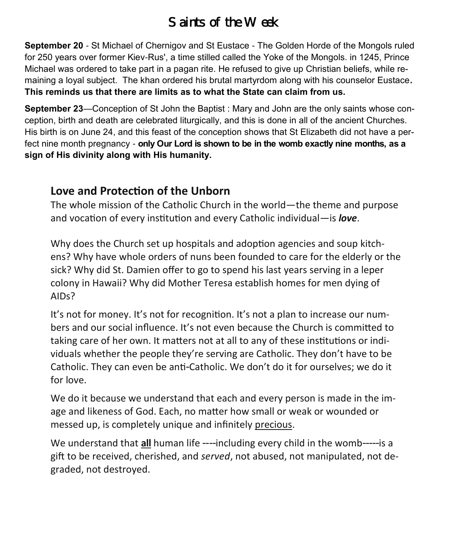# *Saints of the Week*

**September 20** - St Michael of Chernigov and St Eustace - The Golden Horde of the Mongols ruled for 250 years over former Kiev-Rus', a time stilled called the Yoke of the Mongols. in 1245, Prince Michael was ordered to take part in a pagan rite. He refused to give up Christian beliefs, while remaining a loyal subject. The khan ordered his brutal martyrdom along with his counselor Eustace**. This reminds us that there are limits as to what the State can claim from us.** 

**September 23**—Conception of St John the Baptist : Mary and John are the only saints whose conception, birth and death are celebrated liturgically, and this is done in all of the ancient Churches. His birth is on June 24, and this feast of the conception shows that St Elizabeth did not have a perfect nine month pregnancy - **only Our Lord is shown to be in the womb exactly nine months, as a sign of His divinity along with His humanity.**

## **Love and Protection of the Unborn**

The whole mission of the Catholic Church in the world—the theme and purpose and vocation of every institution and every Catholic individual—is *love*.

Why does the Church set up hospitals and adoption agencies and soup kitchens? Why have whole orders of nuns been founded to care for the elderly or the sick? Why did St. Damien offer to go to spend his last years serving in a leper colony in Hawaii? Why did Mother Teresa establish homes for men dying of AIDs?

It's not for money. It's not for recognition. It's not a plan to increase our numbers and our social influence. It's not even because the Church is committed to taking care of her own. It matters not at all to any of these institutions or individuals whether the people they're serving are Catholic. They don't have to be Catholic. They can even be anti-Catholic. We don't do it for ourselves; we do it for love.

We do it because we understand that each and every person is made in the image and likeness of God. Each, no matter how small or weak or wounded or messed up, is completely unique and infinitely precious.

We understand that **all** human life ----including every child in the womb-----is a gift to be received, cherished, and *served*, not abused, not manipulated, not degraded, not destroyed.